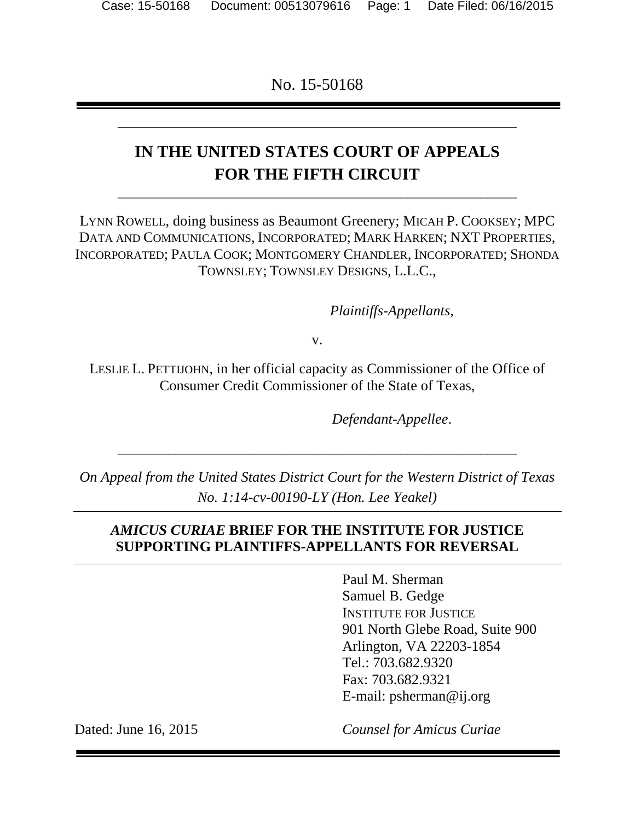No. 15-50168

\_\_\_\_\_\_\_\_\_\_\_\_\_\_\_\_\_\_\_\_\_\_\_\_\_\_\_\_\_\_\_\_\_\_\_\_\_\_\_\_\_\_\_\_\_\_\_\_\_\_\_\_\_\_\_

# **IN THE UNITED STATES COURT OF APPEALS FOR THE FIFTH CIRCUIT**

\_\_\_\_\_\_\_\_\_\_\_\_\_\_\_\_\_\_\_\_\_\_\_\_\_\_\_\_\_\_\_\_\_\_\_\_\_\_\_\_\_\_\_\_\_\_\_\_\_\_\_\_\_\_\_

LYNN ROWELL, doing business as Beaumont Greenery; MICAH P. COOKSEY; MPC DATA AND COMMUNICATIONS, INCORPORATED; MARK HARKEN; NXT PROPERTIES, INCORPORATED; PAULA COOK; MONTGOMERY CHANDLER, INCORPORATED; SHONDA TOWNSLEY; TOWNSLEY DESIGNS, L.L.C.,

 *Plaintiffs-Appellants*,

v.

LESLIE L. PETTIJOHN, in her official capacity as Commissioner of the Office of Consumer Credit Commissioner of the State of Texas,

*Defendant-Appellee*.

*On Appeal from the United States District Court for the Western District of Texas No. 1:14-cv-00190-LY (Hon. Lee Yeakel)* 

\_\_\_\_\_\_\_\_\_\_\_\_\_\_\_\_\_\_\_\_\_\_\_\_\_\_\_\_\_\_\_\_\_\_\_\_\_\_\_\_\_\_\_\_\_\_\_\_\_\_\_\_\_\_\_

### *AMICUS CURIAE* **BRIEF FOR THE INSTITUTE FOR JUSTICE SUPPORTING PLAINTIFFS-APPELLANTS FOR REVERSAL**

Paul M. Sherman Samuel B. Gedge INSTITUTE FOR JUSTICE 901 North Glebe Road, Suite 900 Arlington, VA 22203-1854 Tel.: 703.682.9320 Fax: 703.682.9321 E-mail: psherman@ij.org

Dated: June 16, 2015

*Counsel for Amicus Curiae*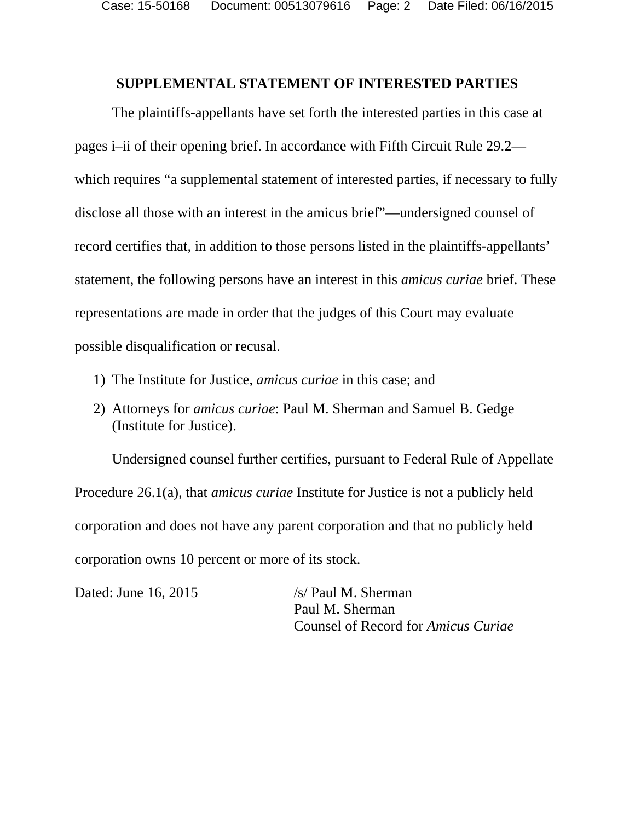#### **SUPPLEMENTAL STATEMENT OF INTERESTED PARTIES**

The plaintiffs-appellants have set forth the interested parties in this case at pages i–ii of their opening brief. In accordance with Fifth Circuit Rule 29.2 which requires "a supplemental statement of interested parties, if necessary to fully disclose all those with an interest in the amicus brief"—undersigned counsel of record certifies that, in addition to those persons listed in the plaintiffs-appellants' statement, the following persons have an interest in this *amicus curiae* brief. These representations are made in order that the judges of this Court may evaluate possible disqualification or recusal.

- 1) The Institute for Justice, *amicus curiae* in this case; and
- 2) Attorneys for *amicus curiae*: Paul M. Sherman and Samuel B. Gedge (Institute for Justice).

Undersigned counsel further certifies, pursuant to Federal Rule of Appellate Procedure 26.1(a), that *amicus curiae* Institute for Justice is not a publicly held corporation and does not have any parent corporation and that no publicly held corporation owns 10 percent or more of its stock.

Dated: June 16, 2015 /s/ Paul M. Sherman

Paul M. Sherman Counsel of Record for *Amicus Curiae*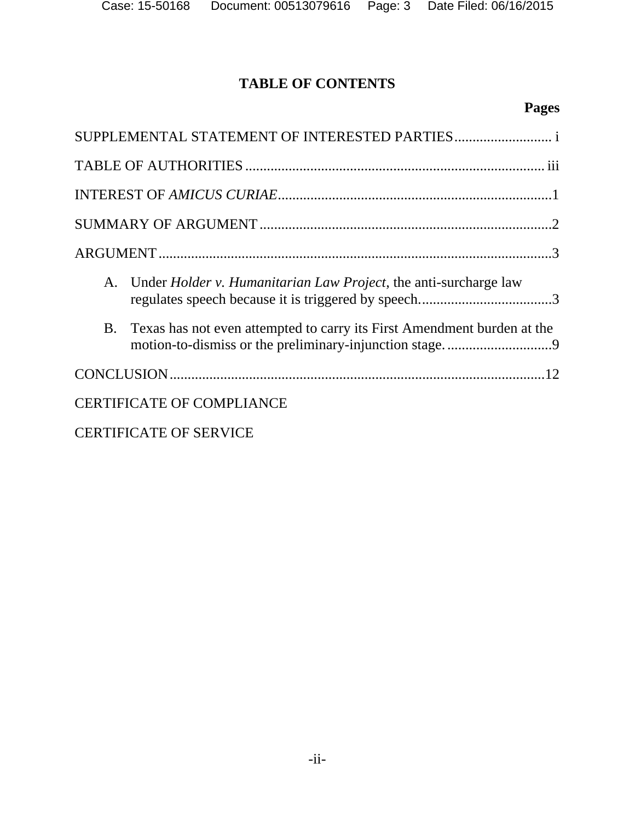## **TABLE OF CONTENTS**

## **Pages**

| A. Under <i>Holder v. Humanitarian Law Project</i> , the anti-surcharge law          |
|--------------------------------------------------------------------------------------|
| Texas has not even attempted to carry its First Amendment burden at the<br><b>B.</b> |
|                                                                                      |
| <b>CERTIFICATE OF COMPLIANCE</b>                                                     |
| <b>CERTIFICATE OF SERVICE</b>                                                        |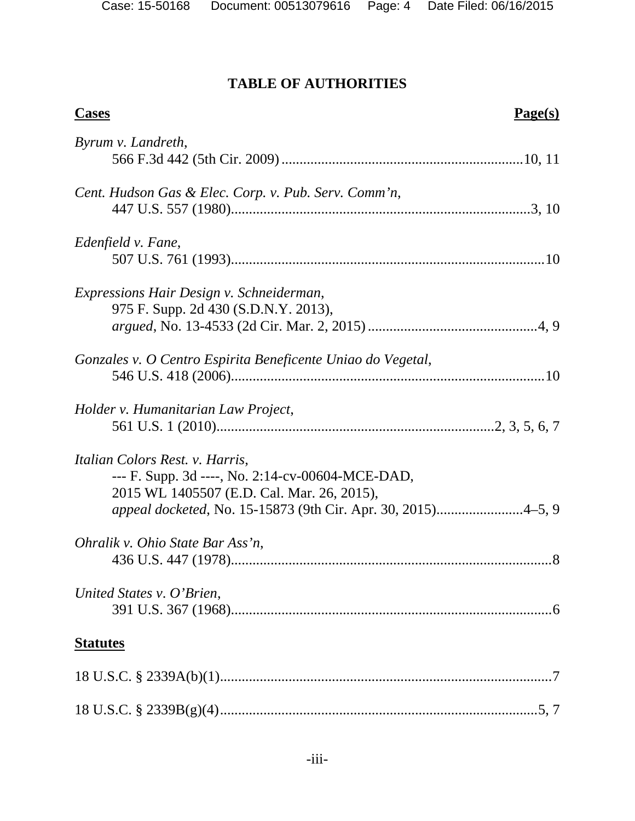| <b>Cases</b>                                                                                                                                                                                      | Page(s) |
|---------------------------------------------------------------------------------------------------------------------------------------------------------------------------------------------------|---------|
| Byrum v. Landreth,                                                                                                                                                                                |         |
| Cent. Hudson Gas & Elec. Corp. v. Pub. Serv. Comm'n,                                                                                                                                              |         |
| Edenfield v. Fane,                                                                                                                                                                                |         |
| Expressions Hair Design v. Schneiderman,<br>975 F. Supp. 2d 430 (S.D.N.Y. 2013),                                                                                                                  |         |
| Gonzales v. O Centro Espirita Beneficente Uniao do Vegetal,                                                                                                                                       |         |
| Holder v. Humanitarian Law Project,                                                                                                                                                               |         |
| Italian Colors Rest. v. Harris,<br>--- F. Supp. 3d ----, No. 2:14-cv-00604-MCE-DAD,<br>2015 WL 1405507 (E.D. Cal. Mar. 26, 2015),<br>appeal docketed, No. 15-15873 (9th Cir. Apr. 30, 2015)4–5, 9 |         |
| Ohralik v. Ohio State Bar Ass'n,                                                                                                                                                                  |         |
| United States v. O'Brien,                                                                                                                                                                         |         |
| <b>Statutes</b>                                                                                                                                                                                   |         |
|                                                                                                                                                                                                   |         |
|                                                                                                                                                                                                   |         |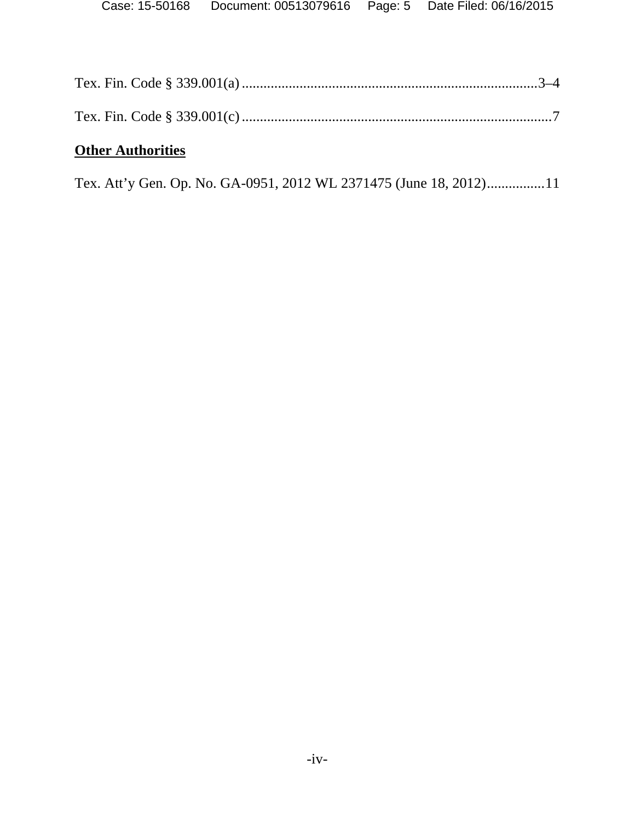| <b>Other Authorities</b> |  |
|--------------------------|--|
|                          |  |
|                          |  |

Tex. Att'y Gen. Op. No. GA-0951, 2012 WL 2371475 (June 18, 2012) ................ 11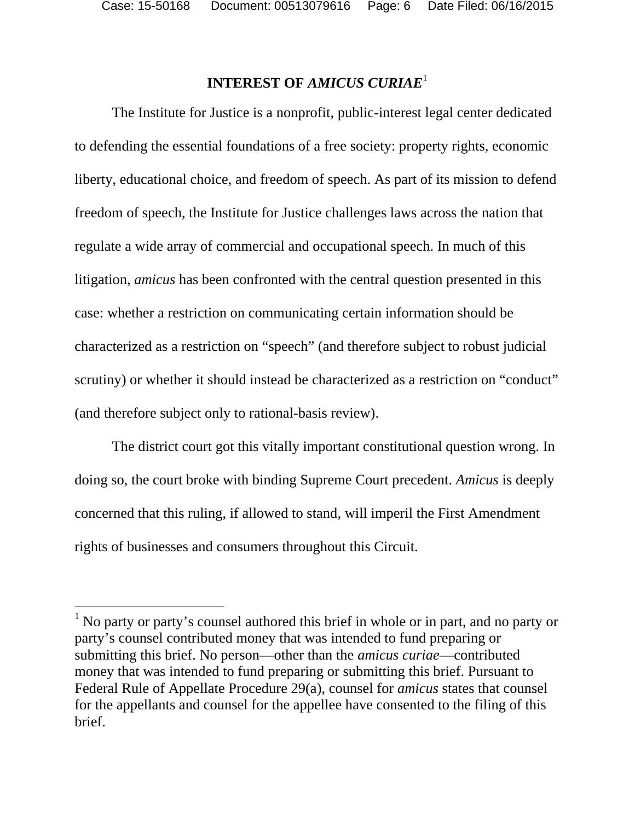l

## **INTEREST OF** *AMICUS CURIAE*<sup>1</sup>

The Institute for Justice is a nonprofit, public-interest legal center dedicated to defending the essential foundations of a free society: property rights, economic liberty, educational choice, and freedom of speech. As part of its mission to defend freedom of speech, the Institute for Justice challenges laws across the nation that regulate a wide array of commercial and occupational speech. In much of this litigation, *amicus* has been confronted with the central question presented in this case: whether a restriction on communicating certain information should be characterized as a restriction on "speech" (and therefore subject to robust judicial scrutiny) or whether it should instead be characterized as a restriction on "conduct" (and therefore subject only to rational-basis review).

The district court got this vitally important constitutional question wrong. In doing so, the court broke with binding Supreme Court precedent. *Amicus* is deeply concerned that this ruling, if allowed to stand, will imperil the First Amendment rights of businesses and consumers throughout this Circuit.

<sup>&</sup>lt;sup>1</sup> No party or party's counsel authored this brief in whole or in part, and no party or party's counsel contributed money that was intended to fund preparing or submitting this brief. No person—other than the *amicus curiae*—contributed money that was intended to fund preparing or submitting this brief. Pursuant to Federal Rule of Appellate Procedure 29(a), counsel for *amicus* states that counsel for the appellants and counsel for the appellee have consented to the filing of this brief.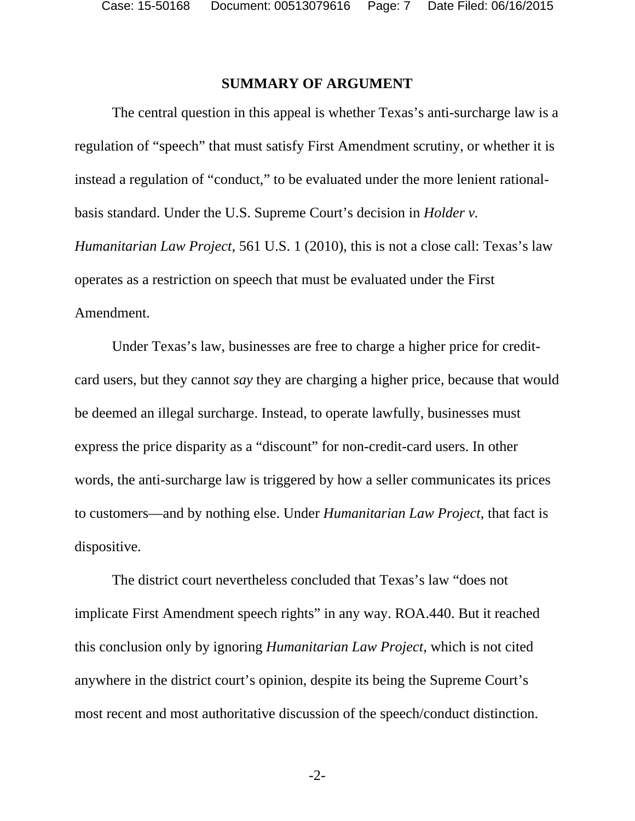#### **SUMMARY OF ARGUMENT**

The central question in this appeal is whether Texas's anti-surcharge law is a regulation of "speech" that must satisfy First Amendment scrutiny, or whether it is instead a regulation of "conduct," to be evaluated under the more lenient rationalbasis standard. Under the U.S. Supreme Court's decision in *Holder v. Humanitarian Law Project*, 561 U.S. 1 (2010), this is not a close call: Texas's law operates as a restriction on speech that must be evaluated under the First Amendment.

Under Texas's law, businesses are free to charge a higher price for creditcard users, but they cannot *say* they are charging a higher price, because that would be deemed an illegal surcharge. Instead, to operate lawfully, businesses must express the price disparity as a "discount" for non-credit-card users. In other words, the anti-surcharge law is triggered by how a seller communicates its prices to customers—and by nothing else. Under *Humanitarian Law Project*, that fact is dispositive.

The district court nevertheless concluded that Texas's law "does not implicate First Amendment speech rights" in any way. ROA.440. But it reached this conclusion only by ignoring *Humanitarian Law Project*, which is not cited anywhere in the district court's opinion, despite its being the Supreme Court's most recent and most authoritative discussion of the speech/conduct distinction.

-2-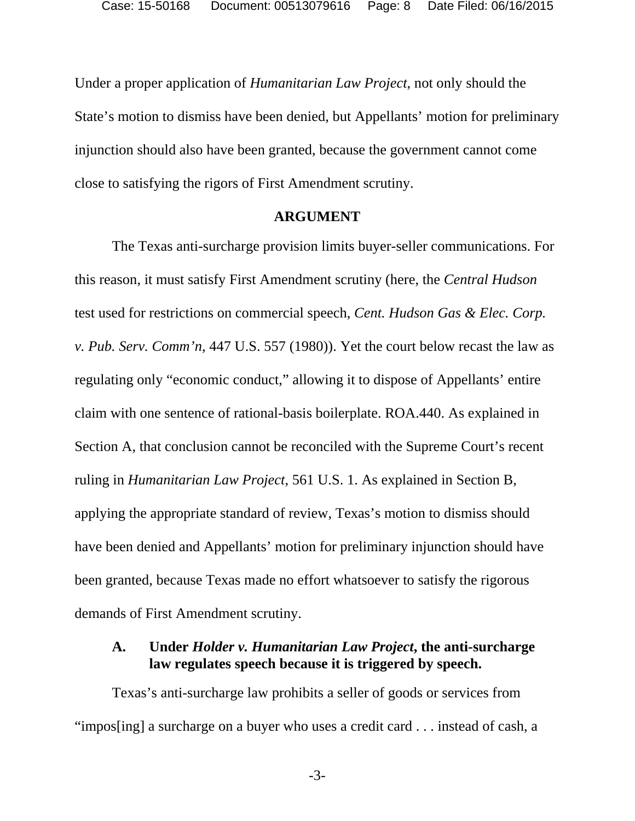Under a proper application of *Humanitarian Law Project*, not only should the State's motion to dismiss have been denied, but Appellants' motion for preliminary injunction should also have been granted, because the government cannot come close to satisfying the rigors of First Amendment scrutiny.

#### **ARGUMENT**

The Texas anti-surcharge provision limits buyer-seller communications. For this reason, it must satisfy First Amendment scrutiny (here, the *Central Hudson*  test used for restrictions on commercial speech, *Cent. Hudson Gas & Elec. Corp. v. Pub. Serv. Comm'n*, 447 U.S. 557 (1980)). Yet the court below recast the law as regulating only "economic conduct," allowing it to dispose of Appellants' entire claim with one sentence of rational-basis boilerplate. ROA.440. As explained in Section A, that conclusion cannot be reconciled with the Supreme Court's recent ruling in *Humanitarian Law Project*, 561 U.S. 1. As explained in Section B, applying the appropriate standard of review, Texas's motion to dismiss should have been denied and Appellants' motion for preliminary injunction should have been granted, because Texas made no effort whatsoever to satisfy the rigorous demands of First Amendment scrutiny.

### **A. Under** *Holder v. Humanitarian Law Project***, the anti-surcharge law regulates speech because it is triggered by speech.**

Texas's anti-surcharge law prohibits a seller of goods or services from "impos[ing] a surcharge on a buyer who uses a credit card . . . instead of cash, a

-3-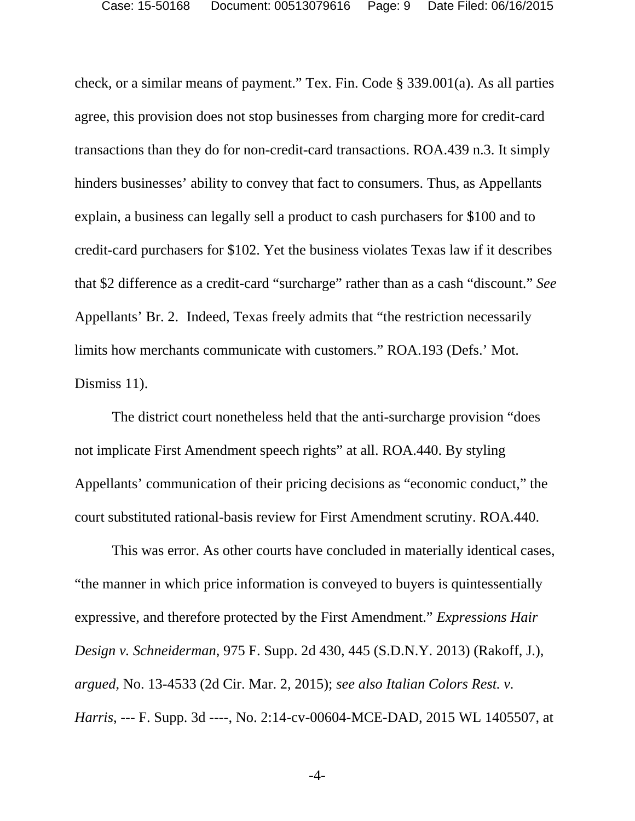check, or a similar means of payment." Tex. Fin. Code § 339.001(a). As all parties agree, this provision does not stop businesses from charging more for credit-card transactions than they do for non-credit-card transactions. ROA.439 n.3. It simply hinders businesses' ability to convey that fact to consumers. Thus, as Appellants explain, a business can legally sell a product to cash purchasers for \$100 and to credit-card purchasers for \$102. Yet the business violates Texas law if it describes that \$2 difference as a credit-card "surcharge" rather than as a cash "discount." *See*  Appellants' Br. 2. Indeed, Texas freely admits that "the restriction necessarily limits how merchants communicate with customers." ROA.193 (Defs.' Mot. Dismiss 11).

The district court nonetheless held that the anti-surcharge provision "does not implicate First Amendment speech rights" at all. ROA.440. By styling Appellants' communication of their pricing decisions as "economic conduct," the court substituted rational-basis review for First Amendment scrutiny. ROA.440.

This was error. As other courts have concluded in materially identical cases, "the manner in which price information is conveyed to buyers is quintessentially expressive, and therefore protected by the First Amendment." *Expressions Hair Design v. Schneiderman*, 975 F. Supp. 2d 430, 445 (S.D.N.Y. 2013) (Rakoff, J.), *argued*, No. 13-4533 (2d Cir. Mar. 2, 2015); *see also Italian Colors Rest. v. Harris*, --- F. Supp. 3d ----, No. 2:14-cv-00604-MCE-DAD, 2015 WL 1405507, at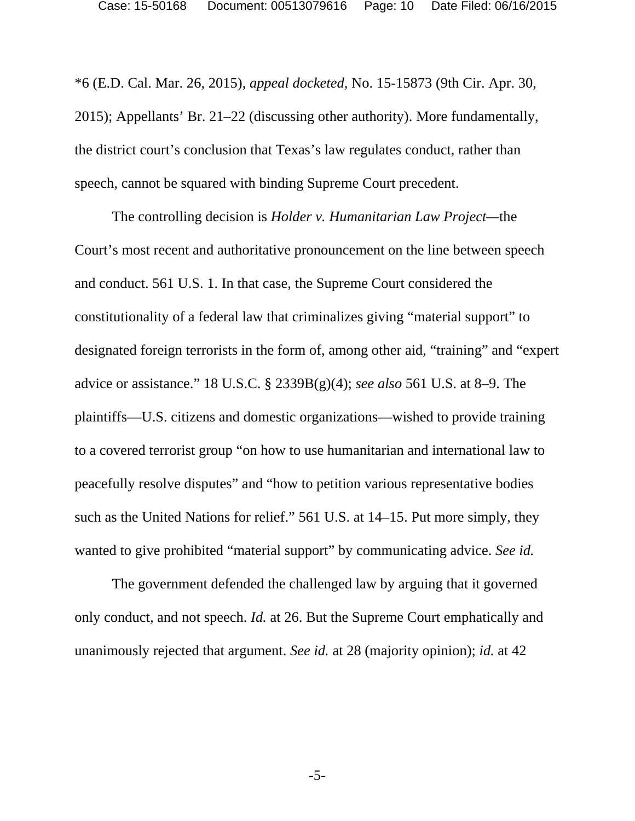\*6 (E.D. Cal. Mar. 26, 2015), *appeal docketed*, No. 15-15873 (9th Cir. Apr. 30, 2015); Appellants' Br. 21–22 (discussing other authority). More fundamentally, the district court's conclusion that Texas's law regulates conduct, rather than speech, cannot be squared with binding Supreme Court precedent.

The controlling decision is *Holder v. Humanitarian Law Project—*the Court's most recent and authoritative pronouncement on the line between speech and conduct. 561 U.S. 1. In that case, the Supreme Court considered the constitutionality of a federal law that criminalizes giving "material support" to designated foreign terrorists in the form of, among other aid, "training" and "expert advice or assistance." 18 U.S.C. § 2339B(g)(4); *see also* 561 U.S. at 8–9. The plaintiffs—U.S. citizens and domestic organizations—wished to provide training to a covered terrorist group "on how to use humanitarian and international law to peacefully resolve disputes" and "how to petition various representative bodies such as the United Nations for relief." 561 U.S. at 14–15. Put more simply, they wanted to give prohibited "material support" by communicating advice. *See id.*

The government defended the challenged law by arguing that it governed only conduct, and not speech. *Id.* at 26. But the Supreme Court emphatically and unanimously rejected that argument. *See id.* at 28 (majority opinion); *id.* at 42

-5-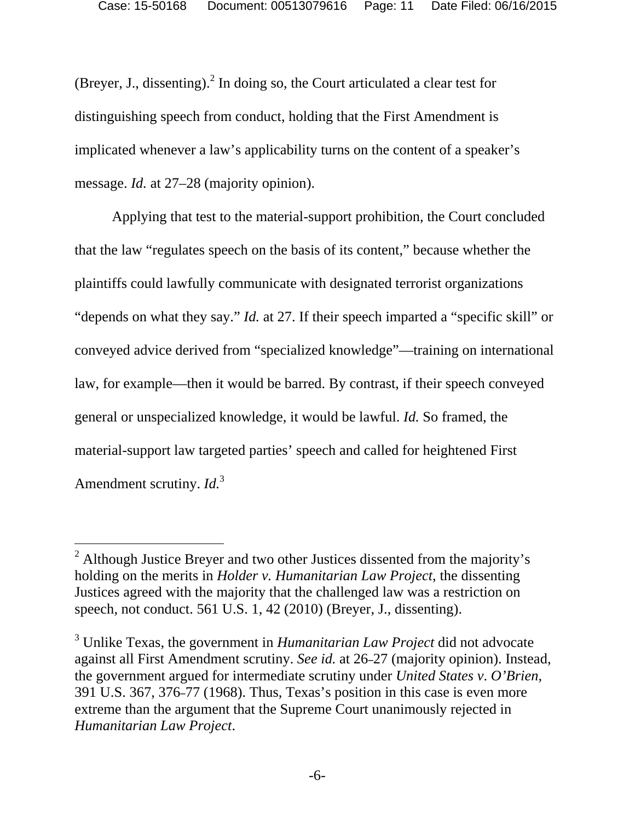(Breyer, J., dissenting). $^2$  In doing so, the Court articulated a clear test for distinguishing speech from conduct, holding that the First Amendment is implicated whenever a law's applicability turns on the content of a speaker's message. *Id.* at 27–28 (majority opinion).

Applying that test to the material-support prohibition, the Court concluded that the law "regulates speech on the basis of its content," because whether the plaintiffs could lawfully communicate with designated terrorist organizations "depends on what they say." *Id.* at 27. If their speech imparted a "specific skill" or conveyed advice derived from "specialized knowledge"—training on international law, for example—then it would be barred. By contrast, if their speech conveyed general or unspecialized knowledge, it would be lawful. *Id.* So framed, the material-support law targeted parties' speech and called for heightened First Amendment scrutiny. *Id.*<sup>3</sup>

-

<sup>&</sup>lt;sup>2</sup> Although Justice Breyer and two other Justices dissented from the majority's holding on the merits in *Holder v. Humanitarian Law Project*, the dissenting Justices agreed with the majority that the challenged law was a restriction on speech, not conduct. 561 U.S. 1, 42 (2010) (Breyer, J., dissenting).

<sup>3</sup> Unlike Texas, the government in *Humanitarian Law Project* did not advocate against all First Amendment scrutiny. *See id.* at 26–27 (majority opinion). Instead, the government argued for intermediate scrutiny under *United States v*. *O'Brien*, 391 U.S. 367, 376–77 (1968). Thus, Texas's position in this case is even more extreme than the argument that the Supreme Court unanimously rejected in *Humanitarian Law Project*.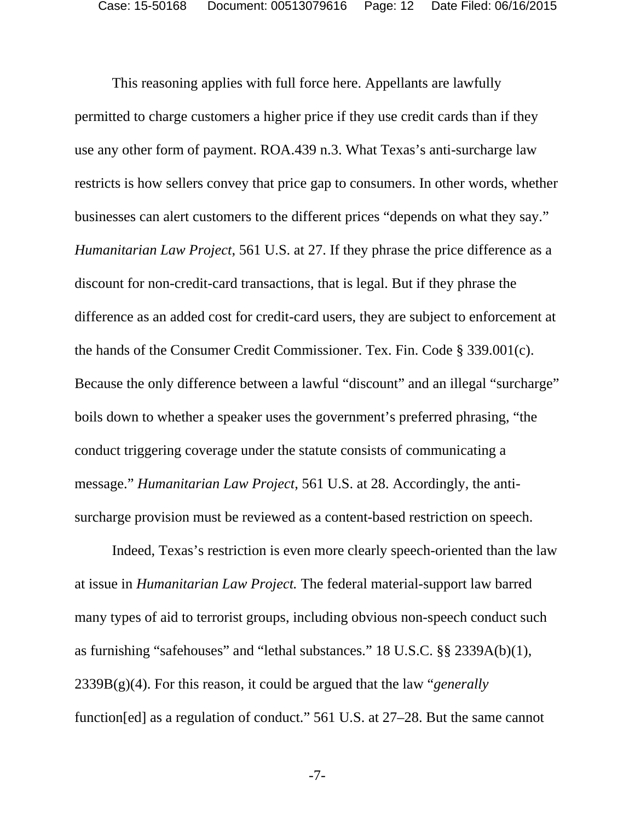This reasoning applies with full force here. Appellants are lawfully permitted to charge customers a higher price if they use credit cards than if they use any other form of payment. ROA.439 n.3. What Texas's anti-surcharge law restricts is how sellers convey that price gap to consumers. In other words, whether businesses can alert customers to the different prices "depends on what they say." *Humanitarian Law Project*, 561 U.S. at 27. If they phrase the price difference as a discount for non-credit-card transactions, that is legal. But if they phrase the difference as an added cost for credit-card users, they are subject to enforcement at the hands of the Consumer Credit Commissioner. Tex. Fin. Code § 339.001(c). Because the only difference between a lawful "discount" and an illegal "surcharge" boils down to whether a speaker uses the government's preferred phrasing, "the conduct triggering coverage under the statute consists of communicating a message." *Humanitarian Law Project*, 561 U.S. at 28. Accordingly, the antisurcharge provision must be reviewed as a content-based restriction on speech.

Indeed, Texas's restriction is even more clearly speech-oriented than the law at issue in *Humanitarian Law Project.* The federal material-support law barred many types of aid to terrorist groups, including obvious non-speech conduct such as furnishing "safehouses" and "lethal substances." 18 U.S.C. §§ 2339A(b)(1), 2339B(g)(4). For this reason, it could be argued that the law "*generally* function[ed] as a regulation of conduct." 561 U.S. at 27–28. But the same cannot

-7-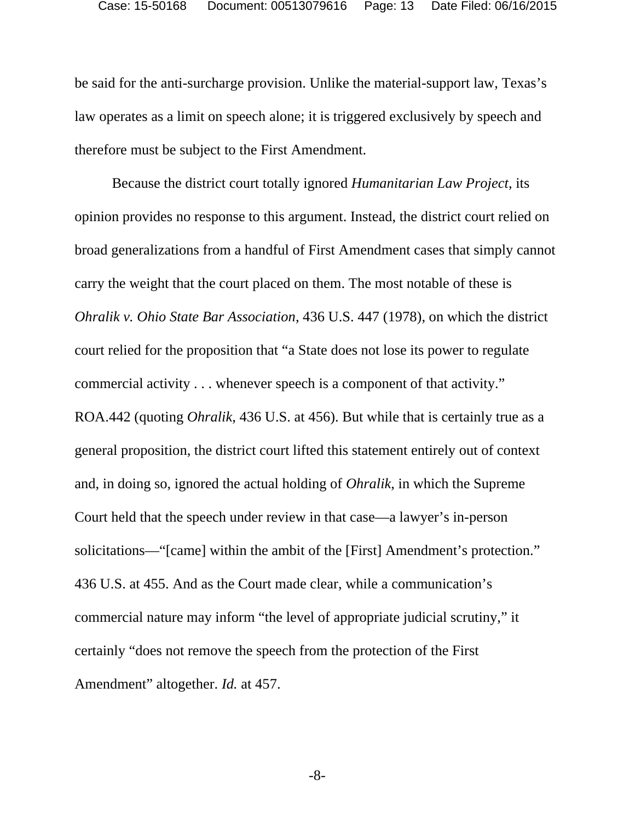be said for the anti-surcharge provision. Unlike the material-support law, Texas's law operates as a limit on speech alone; it is triggered exclusively by speech and therefore must be subject to the First Amendment.

Because the district court totally ignored *Humanitarian Law Project*, its opinion provides no response to this argument. Instead, the district court relied on broad generalizations from a handful of First Amendment cases that simply cannot carry the weight that the court placed on them. The most notable of these is *Ohralik v. Ohio State Bar Association*, 436 U.S. 447 (1978), on which the district court relied for the proposition that "a State does not lose its power to regulate commercial activity . . . whenever speech is a component of that activity." ROA.442 (quoting *Ohralik*, 436 U.S. at 456). But while that is certainly true as a general proposition, the district court lifted this statement entirely out of context and, in doing so, ignored the actual holding of *Ohralik*, in which the Supreme Court held that the speech under review in that case—a lawyer's in-person solicitations—"[came] within the ambit of the [First] Amendment's protection." 436 U.S. at 455. And as the Court made clear, while a communication's commercial nature may inform "the level of appropriate judicial scrutiny," it certainly "does not remove the speech from the protection of the First Amendment" altogether. *Id.* at 457.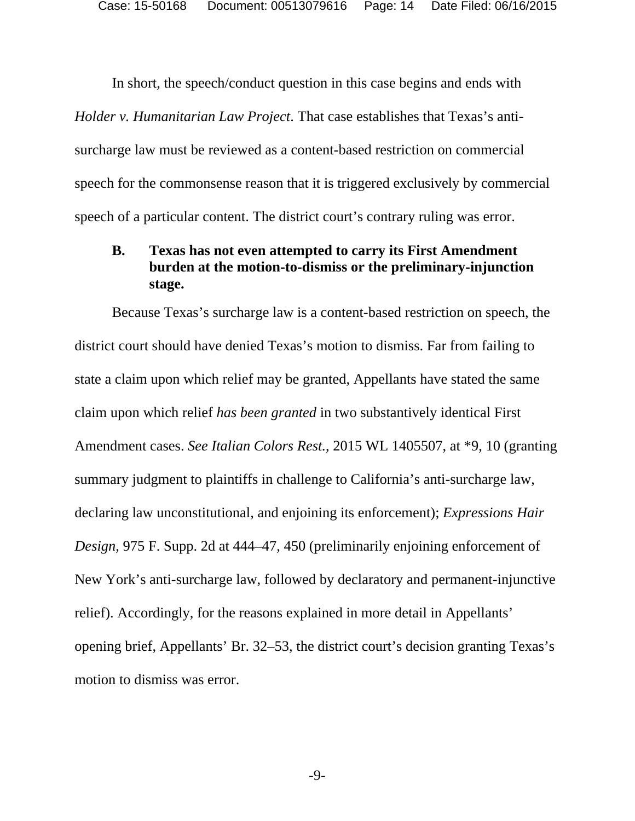In short, the speech/conduct question in this case begins and ends with *Holder v. Humanitarian Law Project*. That case establishes that Texas's antisurcharge law must be reviewed as a content-based restriction on commercial speech for the commonsense reason that it is triggered exclusively by commercial speech of a particular content. The district court's contrary ruling was error.

### **B. Texas has not even attempted to carry its First Amendment burden at the motion-to-dismiss or the preliminary-injunction stage.**

Because Texas's surcharge law is a content-based restriction on speech, the district court should have denied Texas's motion to dismiss. Far from failing to state a claim upon which relief may be granted, Appellants have stated the same claim upon which relief *has been granted* in two substantively identical First Amendment cases. *See Italian Colors Rest.*, 2015 WL 1405507, at \*9, 10 (granting summary judgment to plaintiffs in challenge to California's anti-surcharge law, declaring law unconstitutional, and enjoining its enforcement); *Expressions Hair Design*, 975 F. Supp. 2d at 444–47, 450 (preliminarily enjoining enforcement of New York's anti-surcharge law, followed by declaratory and permanent-injunctive relief). Accordingly, for the reasons explained in more detail in Appellants' opening brief, Appellants' Br. 32–53, the district court's decision granting Texas's motion to dismiss was error.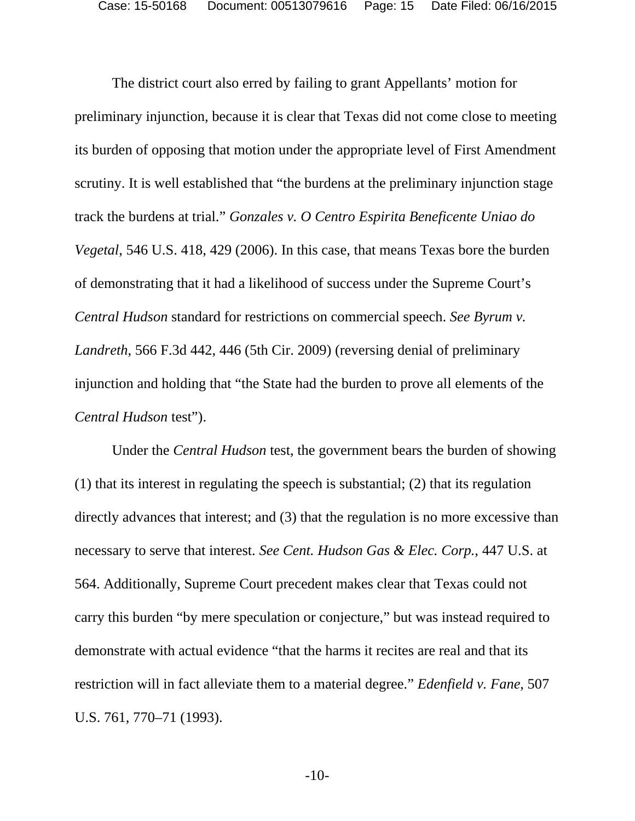The district court also erred by failing to grant Appellants' motion for preliminary injunction, because it is clear that Texas did not come close to meeting its burden of opposing that motion under the appropriate level of First Amendment scrutiny. It is well established that "the burdens at the preliminary injunction stage track the burdens at trial." *Gonzales v. O Centro Espirita Beneficente Uniao do Vegetal*, 546 U.S. 418, 429 (2006). In this case, that means Texas bore the burden of demonstrating that it had a likelihood of success under the Supreme Court's *Central Hudson* standard for restrictions on commercial speech. *See Byrum v. Landreth*, 566 F.3d 442, 446 (5th Cir. 2009) (reversing denial of preliminary injunction and holding that "the State had the burden to prove all elements of the *Central Hudson* test").

Under the *Central Hudson* test, the government bears the burden of showing (1) that its interest in regulating the speech is substantial; (2) that its regulation directly advances that interest; and (3) that the regulation is no more excessive than necessary to serve that interest. *See Cent. Hudson Gas & Elec. Corp.*, 447 U.S. at 564. Additionally, Supreme Court precedent makes clear that Texas could not carry this burden "by mere speculation or conjecture," but was instead required to demonstrate with actual evidence "that the harms it recites are real and that its restriction will in fact alleviate them to a material degree." *Edenfield v. Fane*, 507 U.S. 761, 770–71 (1993).

-10-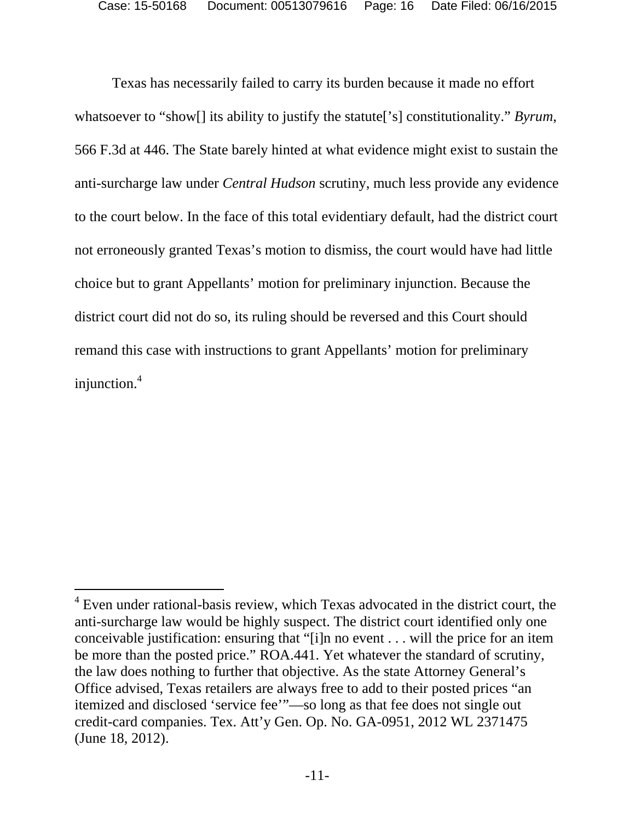Texas has necessarily failed to carry its burden because it made no effort whatsoever to "show[] its ability to justify the statute['s] constitutionality." *Byrum*, 566 F.3d at 446. The State barely hinted at what evidence might exist to sustain the anti-surcharge law under *Central Hudson* scrutiny, much less provide any evidence to the court below. In the face of this total evidentiary default, had the district court not erroneously granted Texas's motion to dismiss, the court would have had little choice but to grant Appellants' motion for preliminary injunction. Because the district court did not do so, its ruling should be reversed and this Court should remand this case with instructions to grant Appellants' motion for preliminary injunction.<sup>4</sup>

-

<sup>&</sup>lt;sup>4</sup> Even under rational-basis review, which Texas advocated in the district court, the anti-surcharge law would be highly suspect. The district court identified only one conceivable justification: ensuring that "[i]n no event . . . will the price for an item be more than the posted price." ROA.441. Yet whatever the standard of scrutiny, the law does nothing to further that objective. As the state Attorney General's Office advised, Texas retailers are always free to add to their posted prices "an itemized and disclosed 'service fee'"—so long as that fee does not single out credit-card companies. Tex. Att'y Gen. Op. No. GA-0951, 2012 WL 2371475 (June 18, 2012).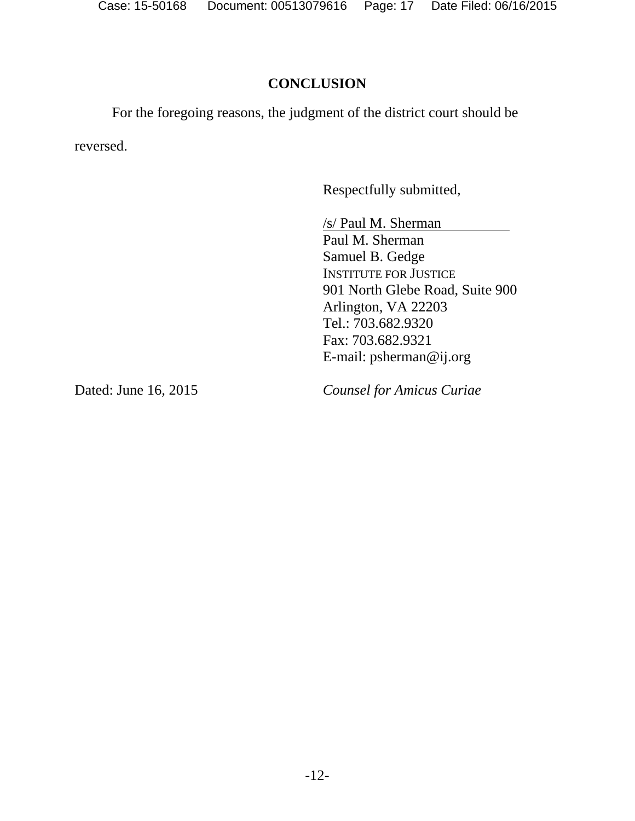### **CONCLUSION**

For the foregoing reasons, the judgment of the district court should be

reversed.

Respectfully submitted,

/s/ Paul M. Sherman Paul M. Sherman Samuel B. Gedge INSTITUTE FOR JUSTICE 901 North Glebe Road, Suite 900 Arlington, VA 22203 Tel.: 703.682.9320 Fax: 703.682.9321 E-mail: psherman@ij.org

Dated: June 16, 2015

*Counsel for Amicus Curiae*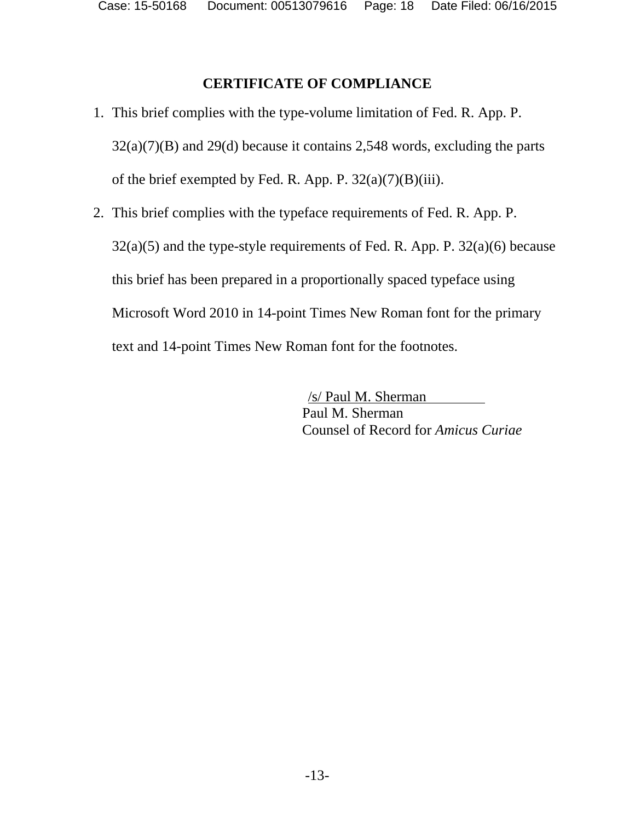## **CERTIFICATE OF COMPLIANCE**

- 1. This brief complies with the type-volume limitation of Fed. R. App. P.  $32(a)(7)(B)$  and  $29(d)$  because it contains 2,548 words, excluding the parts of the brief exempted by Fed. R. App. P.  $32(a)(7)(B)(iii)$ .
- 2. This brief complies with the typeface requirements of Fed. R. App. P.  $32(a)(5)$  and the type-style requirements of Fed. R. App. P.  $32(a)(6)$  because this brief has been prepared in a proportionally spaced typeface using Microsoft Word 2010 in 14-point Times New Roman font for the primary text and 14-point Times New Roman font for the footnotes.

/s/ Paul M. Sherman Paul M. Sherman Counsel of Record for *Amicus Curiae*